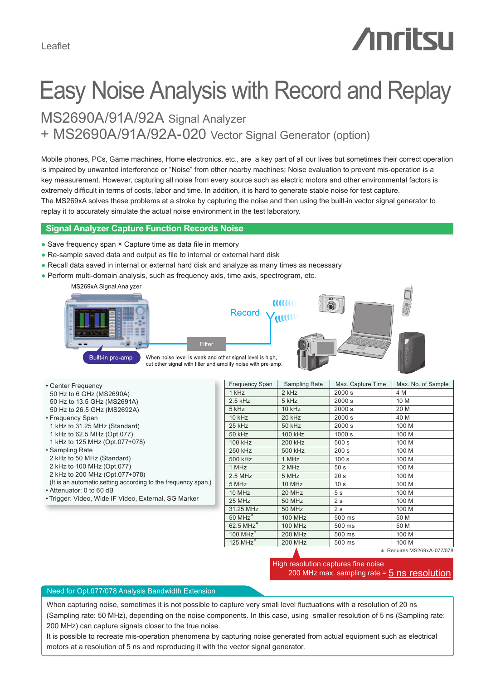Leaflet

# **Anritsu**

# Easy Noise Analysis with Record and Replay

+ MS2690A/91A/92A-020 Vector Signal Generator (option) MS2690A/91A/92A Signal Analyzer

Mobile phones, PCs, Game machines, Home electronics, etc., are a key part of all our lives but sometimes their correct operation is impaired by unwanted interference or "Noise" from other nearby machines; Noise evaluation to prevent mis-operation is a key measurement. However, capturing all noise from every source such as electric motors and other environmental factors is extremely difficult in terms of costs, labor and time. In addition, it is hard to generate stable noise for test capture. The MS269xA solves these problems at a stroke by capturing the noise and then using the built-in vector signal generator to replay it to accurately simulate the actual noise environment in the test laboratory.

# **Signal Analyzer Capture Function Records Noise**

- Save frequency span × Capture time as data file in memory
- Re-sample saved data and output as file to internal or external hard disk
- Recall data saved in internal or external hard disk and analyze as many times as necessary
- Perform multi-domain analysis, such as frequency axis, time axis, spectrogram, etc.

MS269xA Signal Analyzer







When noise level is weak and other signal level is high, cut other signal with filter and amplify noise with pre-amp.

Filte

| • Center Frequency          |
|-----------------------------|
| 50 Hz to 6 GHz (MS2690A)    |
| 50 Hz to 13.5 GHz (MS2691A) |
| 50 Hz to 26.5 GHz (MS2692A) |

- Frequency Span
- 1 kHz to 31.25 MHz (Standard)
- 1 kHz to 62.5 MHz (Opt.077) 1 kHz to 125 MHz (Opt.077+078)
- Sampling Rate
- 2 kHz to 50 MHz (Standard)
- 2 kHz to 100 MHz (Opt.077)
- 2 kHz to 200 MHz (Opt.077+078)
- (It is an automatic setting according to the frequency span.) • Attenuator: 0 to 60 dB
- Trigger: Video, Wide IF Video, External, SG Marker

| <b>Frequency Span</b>   | Sampling Rate  | Max. Capture Time | Max. No. of Sample |
|-------------------------|----------------|-------------------|--------------------|
| 1 kHz                   | 2 kHz          | 2000 s            | 4 M                |
| $2.5$ kHz               | 5 kHz          | 2000 s            | 10 M               |
| 5 kHz                   | 10 kHz         | 2000 s            | 20 M               |
| 10 kHz                  | 20 kHz         | 2000 s            | 40 M               |
| 25 kHz                  | <b>50 kHz</b>  | 2000 s            | 100 M              |
| 50 kHz                  | 100 kHz        | 1000s             | 100 M              |
| <b>100 kHz</b>          | 200 kHz        | 500 s             | 100 M              |
| 250 kHz                 | 500 kHz        | 200 <sub>s</sub>  | 100 M              |
| 500 kHz                 | 1 MHz          | 100 <sub>s</sub>  | 100 M              |
| 1 MHz                   | 2 MHz          | 50 <sub>s</sub>   | 100 M              |
| $2.5$ MHz               | 5 MHz          | 20 <sub>s</sub>   | 100 M              |
| 5 MHz                   | 10 MHz         | 10 <sub>s</sub>   | 100 M              |
| 10 MHz                  | 20 MHz         | 5 <sub>s</sub>    | 100 M              |
| 25 MHz                  | <b>50 MHz</b>  | 2 <sub>s</sub>    | 100 M              |
| 31.25 MHz               | <b>50 MHz</b>  | 2 <sub>s</sub>    | 100 M              |
| $50$ MHz $^*$           | <b>100 MHz</b> | 500 ms            | 50 M               |
| $62.5 \overline{MHz}^*$ | <b>100 MHz</b> | 500 ms            | 50 M               |
| 100 MHz $\overline{ }$  | <b>200 MHz</b> | 500 ms            | 100 M              |
| $125$ MHz <sup>*</sup>  | <b>200 MHz</b> | 500 ms            | 100 M              |

∗: Requires MS269xA-077/078

High resolution captures fine noise 200 MHz max. sampling rate = 5 ns resolution

#### Need for Opt.077/078 Analysis Bandwidth Extension

When capturing noise, sometimes it is not possible to capture very small level fluctuations with a resolution of 20 ns (Sampling rate: 50 MHz), depending on the noise components. In this case, using smaller resolution of 5 ns (Sampling rate: 200 MHz) can capture signals closer to the true noise.

It is possible to recreate mis-operation phenomena by capturing noise generated from actual equipment such as electrical motors at a resolution of 5 ns and reproducing it with the vector signal generator.